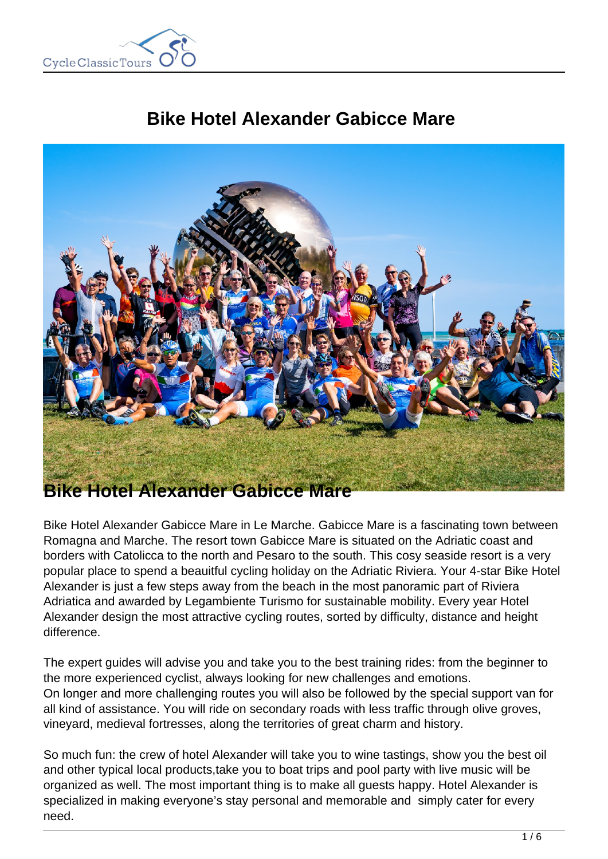

# **Bike Hotel Alexander Gabicce Mare**



Bike Hotel Alexander Gabicce Mare in Le Marche. Gabicce Mare is a fascinating town between Romagna and Marche. The resort town Gabicce Mare is situated on the Adriatic coast and borders with Catolicca to the north and Pesaro to the south. This cosy seaside resort is a very popular place to spend a beauitful cycling holiday on the Adriatic Riviera. Your 4-star Bike Hotel Alexander is just a few steps away from the beach in the most panoramic part of Riviera Adriatica and awarded by Legambiente Turismo for sustainable mobility. Every year Hotel Alexander design the most attractive cycling routes, sorted by difficulty, distance and height difference.

The expert guides will advise you and take you to the best training rides: from the beginner to the more experienced cyclist, always looking for new challenges and emotions. On longer and more challenging routes you will also be followed by the special support van for all kind of assistance. You will ride on secondary roads with less traffic through olive groves, vineyard, medieval fortresses, along the territories of great charm and history.

So much fun: the crew of hotel Alexander will take you to wine tastings, show you the best oil and other typical local products,take you to boat trips and pool party with live music will be organized as well. The most important thing is to make all guests happy. Hotel Alexander is specialized in making everyone's stay personal and memorable and simply cater for every need.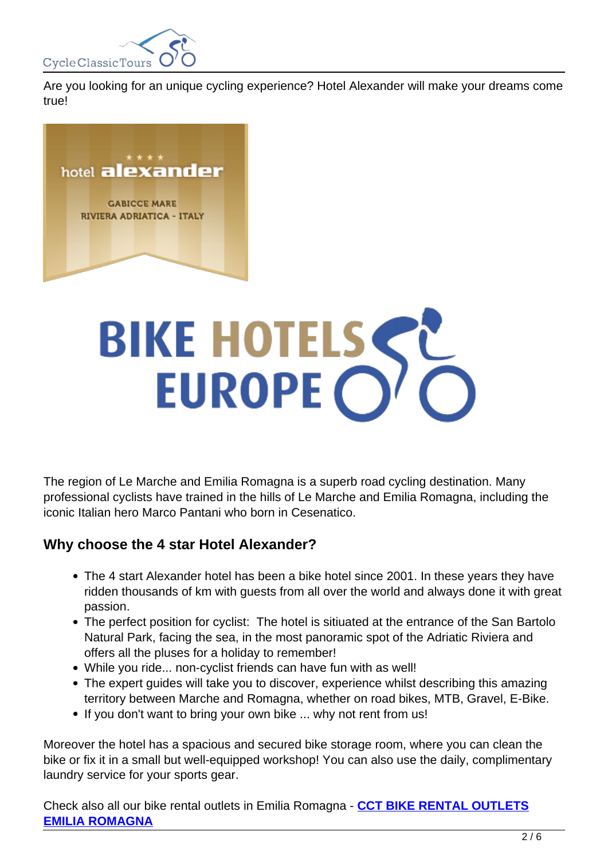

Are you looking for an unique cycling experience? Hotel Alexander will make your dreams come true!



# BIKE HOTELSSE

The region of Le Marche and Emilia Romagna is a superb road cycling destination. Many professional cyclists have trained in the hills of Le Marche and Emilia Romagna, including the iconic Italian hero Marco Pantani who born in Cesenatico.

## **Why choose the 4 star Hotel Alexander?**

- The 4 start Alexander hotel has been a bike hotel since 2001. In these years they have ridden thousands of km with guests from all over the world and always done it with great passion.
- The perfect position for cyclist: The hotel is sitiuated at the entrance of the San Bartolo Natural Park, facing the sea, in the most panoramic spot of the Adriatic Riviera and offers all the pluses for a holiday to remember!
- While you ride... non-cyclist friends can have fun with as well!
- The expert guides will take you to discover, experience whilst describing this amazing territory between Marche and Romagna, whether on road bikes, MTB, Gravel, E-Bike.
- If you don't want to bring your own bike ... why not rent from us!

Moreover the hotel has a spacious and secured bike storage room, where you can clean the bike or fix it in a small but well-equipped workshop! You can also use the daily, complimentary laundry service for your sports gear.

Check also all our bike rental outlets in Emilia Romagna - **CCT BIKE RENTAL OUTLETS EMILIA ROMAGNA**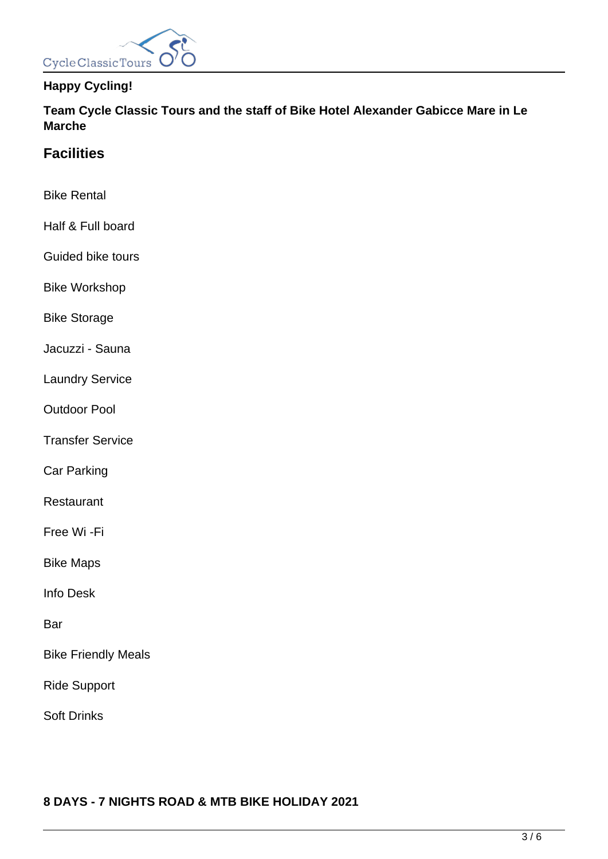

# **Happy Cycling!**

**Team Cycle Classic Tours and the staff of Bike Hotel Alexander Gabicce Mare in Le Marche**

# **Facilities**

- Bike Rental
- Half & Full board
- Guided bike tours
- Bike Workshop
- Bike Storage
- Jacuzzi Sauna
- Laundry Service
- Outdoor Pool
- Transfer Service
- Car Parking
- Restaurant
- Free Wi -Fi
- Bike Maps
- Info Desk
- Bar
- Bike Friendly Meals
- Ride Support
- Soft Drinks

## **8 DAYS - 7 NIGHTS ROAD & MTB BIKE HOLIDAY 2021**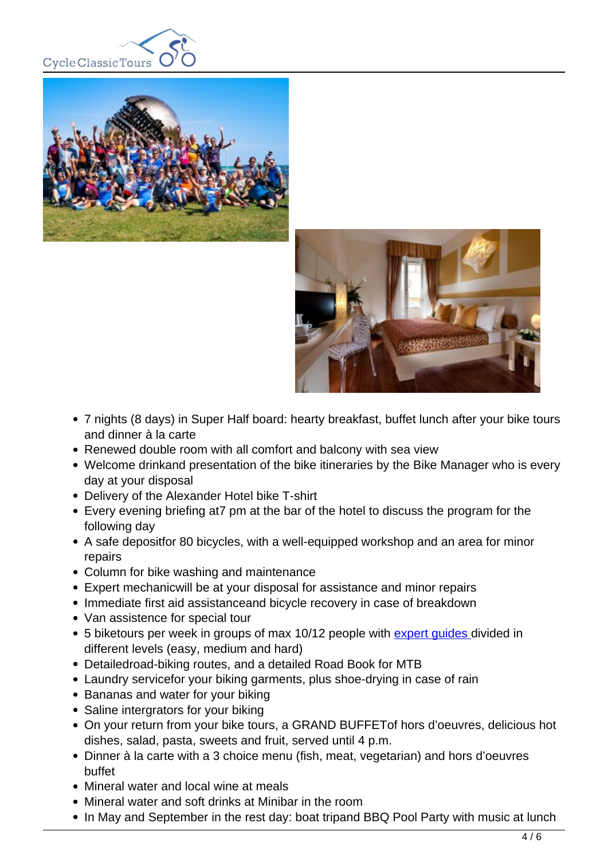





- 7 nights (8 days) in Super Half board: hearty breakfast, buffet lunch after your bike tours and dinner à la carte
- Renewed double room with all comfort and balcony with sea view
- Welcome drinkand presentation of the bike itineraries by the Bike Manager who is every day at your disposal
- Delivery of the Alexander Hotel bike T-shirt
- Every evening briefing at7 pm at the bar of the hotel to discuss the program for the following day
- A safe depositfor 80 bicycles, with a well-equipped workshop and an area for minor repairs
- Column for bike washing and maintenance
- Expert mechanicwill be at your disposal for assistance and minor repairs
- Immediate first aid assistanceand bicycle recovery in case of breakdown
- Van assistence for special tour
- 5 biketours per week in groups of max 10/12 people with expert quides divided in different levels (easy, medium and hard)
- Detailedroad-biking routes, and a detailed Road Book for MTB
- Laundry servicefor your biking garments, plus shoe-drying in case of rain
- Bananas and water for your biking
- Saline intergrators for your biking
- On your return from your bike tours, a GRAND BUFFETof hors d'oeuvres, delicious hot dishes, salad, pasta, sweets and fruit, served until 4 p.m.
- Dinner à la carte with a 3 choice menu (fish, meat, vegetarian) and hors d'oeuvres buffet
- Mineral water and local wine at meals
- Mineral water and soft drinks at Minibar in the room
- In May and September in the rest day: boat tripand BBQ Pool Party with music at lunch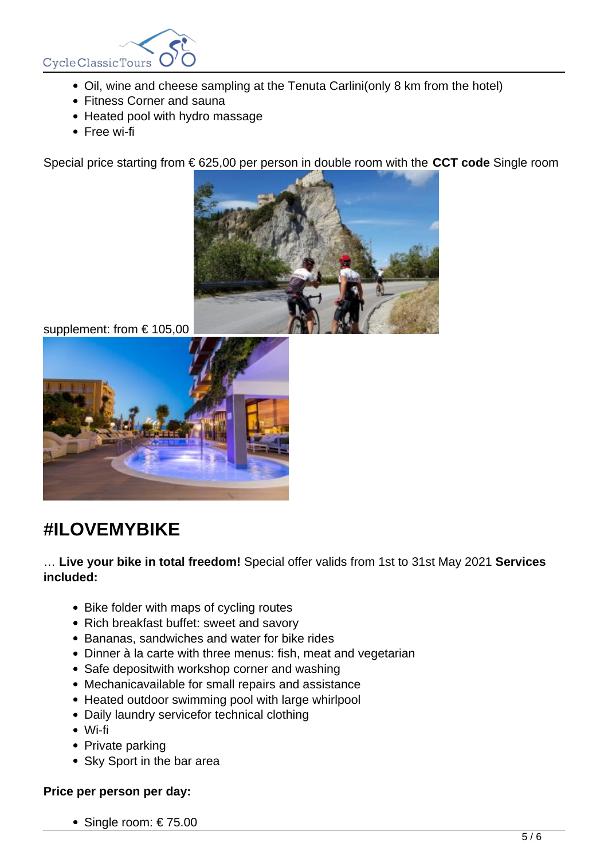

- Oil, wine and cheese sampling at the Tenuta Carlini(only 8 km from the hotel)
- Fitness Corner and sauna
- Heated pool with hydro massage
- Free wi-fi

Special price starting from € 625,00 per person in double room with the **CCT code** Single room



supplement: from € 105,00



# **#ILOVEMYBIKE**

… **Live your bike in total freedom!** Special offer valids from 1st to 31st May 2021 **Services included:**

- Bike folder with maps of cycling routes
- Rich breakfast buffet: sweet and savory
- Bananas, sandwiches and water for bike rides
- Dinner à la carte with three menus: fish, meat and vegetarian
- Safe depositwith workshop corner and washing
- Mechanicavailable for small repairs and assistance
- Heated outdoor swimming pool with large whirlpool
- Daily laundry servicefor technical clothing
- Wi-fi
- Private parking
- Sky Sport in the bar area

## **Price per person per day:**

• Single room:  $€ 75.00$